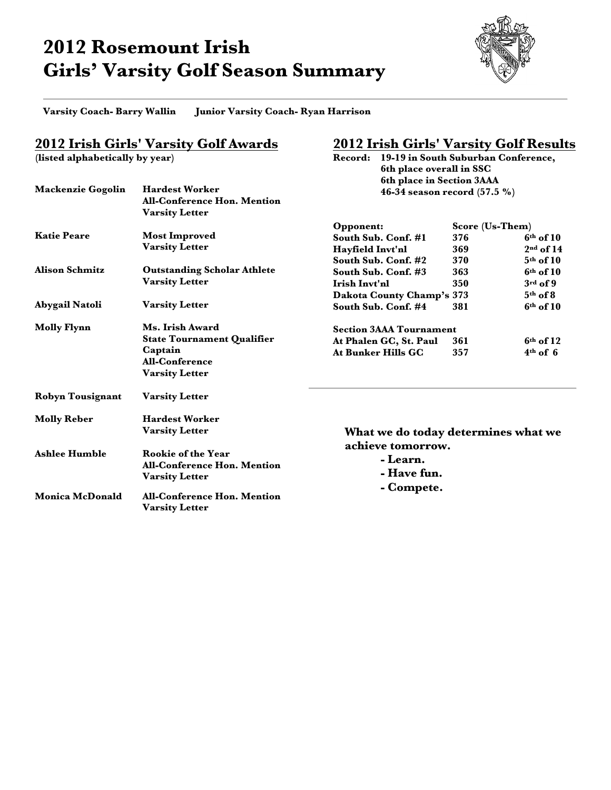## **2012 Rosemount Irish Girls' Varsity Golf Season Summary**



**Varsity Coach- Barry Wallin Junior Varsity Coach- Ryan Harrison** 

## **2012 Irish Girls' Varsity Golf Awards**

**(listed alphabetically by year)**

## **2012 Irish Girls' Varsity Golf Results Record: 19-19 in South Suburban Conference,**

| <b>Hardest Worker</b><br>Mackenzie Gogolin<br><b>All-Conference Hon. Mention</b><br><b>Varsity Letter</b> |                                    |                                                          | 6th place overall in SSC<br>6th place in Section 3AAA<br>46-34 season record $(57.5\%)$ |             |  |
|-----------------------------------------------------------------------------------------------------------|------------------------------------|----------------------------------------------------------|-----------------------------------------------------------------------------------------|-------------|--|
|                                                                                                           |                                    | Opponent:                                                | Score (Us-Them)                                                                         |             |  |
| Katie Peare                                                                                               | <b>Most Improved</b>               | South Sub. Conf. #1                                      | 376                                                                                     | $6th$ of 10 |  |
|                                                                                                           | <b>Varsity Letter</b>              | Hayfield Invt'nl                                         | 369                                                                                     | $2nd$ of 14 |  |
|                                                                                                           |                                    | South Sub. Conf. #2                                      | 370                                                                                     | $5th$ of 10 |  |
| <b>Alison Schmitz</b>                                                                                     | <b>Outstanding Scholar Athlete</b> | South Sub. Conf. #3                                      | 363                                                                                     | $6th$ of 10 |  |
|                                                                                                           | <b>Varsity Letter</b>              | Irish Invt'nl                                            | 350                                                                                     | $3rd$ of 9  |  |
|                                                                                                           |                                    | Dakota County Champ's 373                                |                                                                                         | $5th$ of 8  |  |
| Abygail Natoli                                                                                            | <b>Varsity Letter</b>              | South Sub. Conf. #4                                      | 381                                                                                     | $6th$ of 10 |  |
| <b>Molly Flynn</b>                                                                                        | Ms. Irish Award                    | <b>Section 3AAA Tournament</b>                           |                                                                                         |             |  |
|                                                                                                           | <b>State Tournament Qualifier</b>  | At Phalen GC, St. Paul                                   | 361                                                                                     | $6th$ of 12 |  |
|                                                                                                           | Captain                            | <b>At Bunker Hills GC</b>                                | 357                                                                                     | $4th$ of 6  |  |
|                                                                                                           | <b>All-Conference</b>              |                                                          |                                                                                         |             |  |
|                                                                                                           | <b>Varsity Letter</b>              |                                                          |                                                                                         |             |  |
| <b>Robyn Tousignant</b>                                                                                   | <b>Varsity Letter</b>              |                                                          |                                                                                         |             |  |
| Molly Reber                                                                                               | <b>Hardest Worker</b>              |                                                          |                                                                                         |             |  |
|                                                                                                           | <b>Varsity Letter</b>              | What we do today determines what we<br>achieve tomorrow. |                                                                                         |             |  |
| <b>Ashlee Humble</b>                                                                                      | <b>Rookie of the Year</b>          |                                                          |                                                                                         |             |  |
|                                                                                                           | <b>All-Conference Hon. Mention</b> | - Learn.                                                 |                                                                                         |             |  |
|                                                                                                           | <b>Varsity Letter</b>              | - Have fun.                                              |                                                                                         |             |  |
|                                                                                                           |                                    | - Compete.                                               |                                                                                         |             |  |
| Monica McDonald                                                                                           | <b>All-Conference Hon. Mention</b> |                                                          |                                                                                         |             |  |
|                                                                                                           | <b>Varsity Letter</b>              |                                                          |                                                                                         |             |  |